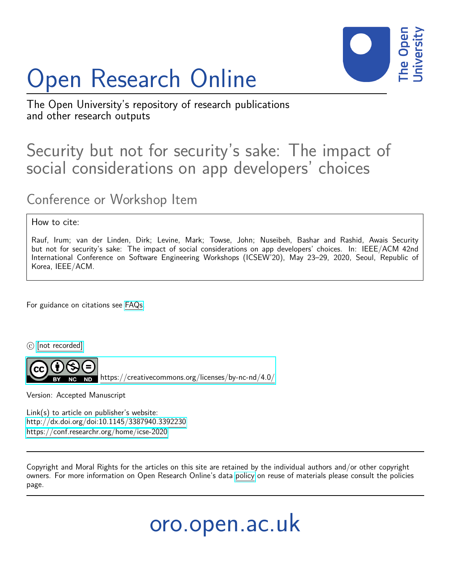# Open Research Online



The Open University's repository of research publications and other research outputs

## Security but not for security's sake: The impact of social considerations on app developers' choices

Conference or Workshop Item

#### How to cite:

Rauf, Irum; van der Linden, Dirk; Levine, Mark; Towse, John; Nuseibeh, Bashar and Rashid, Awais Security but not for security's sake: The impact of social considerations on app developers' choices. In: IEEE/ACM 42nd International Conference on Software Engineering Workshops (ICSEW'20), May 23–29, 2020, Seoul, Republic of Korea, IEEE/ACM.

For guidance on citations see [FAQs.](http://oro.open.ac.uk/help/helpfaq.html)

 $\circled{c}$  [\[not recorded\]](http://oro.open.ac.uk/help/helpfaq.html#Unrecorded_information_on_coversheet)

<https://creativecommons.org/licenses/by-nc-nd/4.0/>

Version: Accepted Manuscript

Link(s) to article on publisher's website: <http://dx.doi.org/doi:10.1145/3387940.3392230> <https://conf.researchr.org/home/icse-2020>

Copyright and Moral Rights for the articles on this site are retained by the individual authors and/or other copyright owners. For more information on Open Research Online's data [policy](http://oro.open.ac.uk/policies.html) on reuse of materials please consult the policies page.

oro.open.ac.uk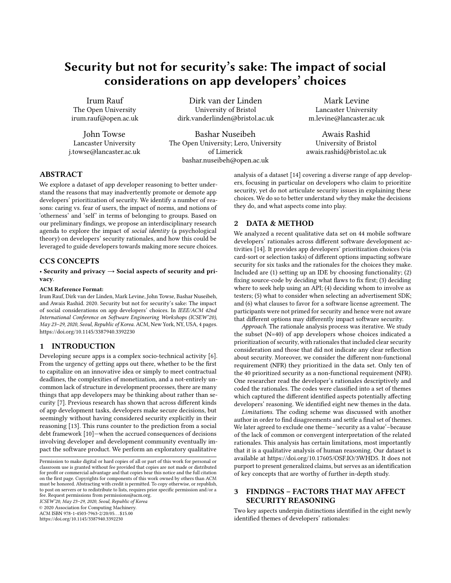### Security but not for security's sake: The impact of social considerations on app developers' choices

Irum Rauf The Open University irum.rauf@open.ac.uk

John Towse Lancaster University j.towse@lancaster.ac.uk

Dirk van der Linden University of Bristol dirk.vanderlinden@bristol.ac.uk

Bashar Nuseibeh The Open University; Lero, University of Limerick bashar.nuseibeh@open.ac.uk

Mark Levine Lancaster University m.levine@lancaster.ac.uk

Awais Rashid University of Bristol awais.rashid@bristol.ac.uk

#### ABSTRACT

We explore a dataset of app developer reasoning to better understand the reasons that may inadvertently promote or demote app developers' prioritization of security. We identify a number of reasons: caring vs. fear of users, the impact of norms, and notions of 'otherness' and 'self' in terms of belonging to groups. Based on our preliminary findings, we propose an interdisciplinary research agenda to explore the impact of social identity (a psychological theory) on developers' security rationales, and how this could be leveraged to guide developers towards making more secure choices.

#### CCS CONCEPTS

#### • Security and privacy  $\rightarrow$  Social aspects of security and privacy.

#### ACM Reference Format:

Irum Rauf, Dirk van der Linden, Mark Levine, John Towse, Bashar Nuseibeh, and Awais Rashid. 2020. Security but not for security's sake: The impact of social considerations on app developers' choices. In IEEE/ACM 42nd International Conference on Software Engineering Workshops (ICSEW'20), May 23–29, 2020, Seoul, Republic of Korea. ACM, New York, NY, USA, 4 pages. https://doi.org/10.1145/3387940.3392230

#### 1 INTRODUCTION

Developing secure apps is a complex socio-technical activity [6]. From the urgency of getting apps out there, whether to be the first to capitalize on an innovative idea or simply to meet contractual deadlines, the complexities of monetization, and a not-entirely uncommon lack of structure in development processes, there are many things that app developers may be thinking about rather than security [7]. Previous research has shown that across different kinds of app development tasks, developers make secure decisions, but seemingly without having considered security explicitly in their reasoning [13]. This runs counter to the prediction from a social debt framework [10]—when the accrued consequences of decisions involving developer and development community eventually impact the software product. We perform an exploratory qualitative

ICSEW'20, May 23–29, 2020, Seoul, Republic of Korea

© 2020 Association for Computing Machinery.

ACM ISBN 978-1-4503-7963-2/20/05. . . \$15.00

https://doi.org/10.1145/3387940.3392230

analysis of a dataset [14] covering a diverse range of app developers, focusing in particular on developers who claim to prioritize security, yet do not articulate security issues in explaining these choices. We do so to better understand why they make the decisions they do, and what aspects come into play.

#### 2 DATA & METHOD

We analyzed a recent qualitative data set on 44 mobile software developers' rationales across different software development activities [14]. It provides app developers' prioritization choices (via card-sort or selection tasks) of different options impacting software security for six tasks and the rationales for the choices they make. Included are (1) setting up an IDE by choosing functionality; (2) fixing source-code by deciding what flaws to fix first; (3) deciding where to seek help using an API; (4) deciding whom to involve as testers; (5) what to consider when selecting an advertisement SDK; and (6) what clauses to favor for a software license agreement. The participants were not primed for security and hence were not aware that different options may differently impact software security.

Approach. The rationale analysis process was iterative. We study the subset (N=40) of app developers whose choices indicated a prioritization of security, with rationales that included clear security consideration and those that did not indicate any clear reflection about security. Moreover, we consider the different non-functional requirement (NFR) they prioritized in the data set. Only ten of the 40 prioritized security as a non-functional requirement (NFR). One researcher read the developer's rationales descriptively and coded the rationales. The codes were classified into a set of themes which captured the different identified aspects potentially affecting developers' reasoning. We identified eight new themes in the data.

Limitations. The coding scheme was discussed with another author in order to find disagreements and settle a final set of themes. We later agreed to exclude one theme–'security as a value'–because of the lack of common or convergent interpretation of the related rationales. This analysis has certain limitations, most importantly that it is a qualitative analysis of human reasoning. Our dataset is available at https://doi.org/10.17605/OSF.IO/3WHD5. It does not purport to present generalized claims, but serves as an identification of key concepts that are worthy of further in-depth study.

#### 3 FINDINGS – FACTORS THAT MAY AFFECT SECURITY REASONING

Two key aspects underpin distinctions identified in the eight newly identified themes of developers' rationales:

Permission to make digital or hard copies of all or part of this work for personal or classroom use is granted without fee provided that copies are not made or distributed for profit or commercial advantage and that copies bear this notice and the full citation on the first page. Copyrights for components of this work owned by others than ACM must be honored. Abstracting with credit is permitted. To copy otherwise, or republish, to post on servers or to redistribute to lists, requires prior specific permission and/or a fee. Request permissions from permissions@acm.org.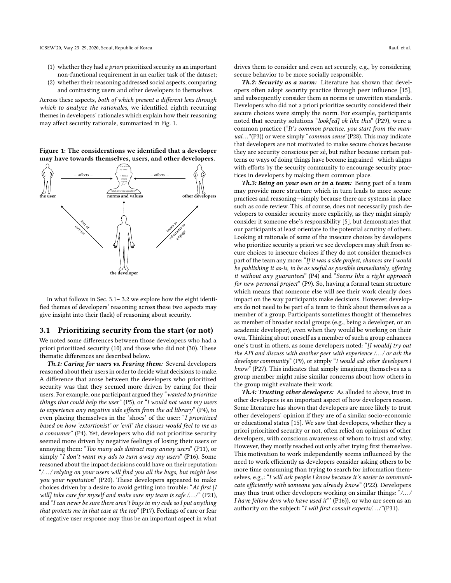- (1) whether they had a priori prioritized security as an important non-functional requirement in an earlier task of the dataset;
- (2) whether their reasoning addressed social aspects, comparing and contrasting users and other developers to themselves.

Across these aspects, both of which present a different lens through which to analyze the rationales, we identified eighth recurring themes in developers' rationales which explain how their reasoning may affect security rationale, summarized in Fig. 1.

Figure 1: The considerations we identified that a developer may have towards themselves, users, and other developers.



In what follows in Sec. 3.1– 3.2 we explore how the eight identified themes of developers' reasoning across these two aspects may give insight into their (lack) of reasoning about security.

#### 3.1 Prioritizing security from the start (or not)

We noted some differences between those developers who had a priori prioritized security (10) and those who did not (30). These thematic differences are described below.

Th.1: Caring for users vs. Fearing them: Several developers reasoned about their users in order to decide what decisions to make. A difference that arose between the developers who prioritized security was that they seemed more driven by caring for their users. For example, one participant argued they "wanted to prioritize things that could help the user"  $(P5)$ , or "I would not want my users to experience any negative side effects from the ad library" (P4), to even placing themselves in the 'shoes' of the user: "I prioritized based on how 'extortionist' or 'evil' the clauses would feel to me as a consumer" (P4). Yet, developers who did not prioritize security seemed more driven by negative feelings of losing their users or annoying them: "Too many ads distract may annoy users" (P11), or simply "I don't want my ads to turn away my users" (P16). Some reasoned about the impact decisions could have on their reputation: "/. . ./ relying on your users will find you all the bugs, but might lose you your reputation" (P20). These developers appeared to make choices driven by a desire to avoid getting into trouble: "At first [I will] take care for myself and make sure my team is safe  $\ldots$ ," (P21), and "I can never be sure there aren't bugs in my code so I put anything that protects me in that case at the top" (P17). Feelings of care or fear of negative user response may thus be an important aspect in what

drives them to consider and even act securely, e.g., by considering secure behavior to be more socially responsible.

Th.2: Security as a norm: Literature has shown that developers often adopt security practice through peer influence [15], and subsequently consider them as norms or unwritten standards. Developers who did not a priori prioritize security considered their secure choices were simply the norm. For example, participants noted that security solutions "look[ed] ok like this" (P29), were a common practice ("It's common practice, you start from the manual..."(P3)) or were simply "common sense"(P28). This may indicate that developers are not motivated to make secure choices because they are security conscious per sé, but rather because certain patterns or ways of doing things have become ingrained—which aligns with efforts by the security community to encourage security practices in developers by making them common place.

Th.3: Being on your own or in a team: Being part of a team may provide more structure which in turn leads to more secure practices and reasoning—simply because there are systems in place such as code review. This, of course, does not necessarily push developers to consider security more explicitly, as they might simply consider it someone else's responsibility [5], but demonstrates that our participants at least orientate to the potential scrutiny of others. Looking at rationale of some of the insecure choices by developers who prioritize security a priori we see developers may shift from secure choices to insecure choices if they do not consider themselves part of the team any more: "If it was a side project, chances are I would be publishing it as-is, to be as useful as possible immediately, offering it without any guarantees" (P4) and "Seems like a right approach for new personal project" (P9). So, having a formal team structure which means that someone else will see their work clearly does impact on the way participants make decisions. However, developers do not need to be part of a team to think about themselves as a member of a group. Participants sometimes thought of themselves as member of broader social groups (e.g., being a developer, or an academic developer), even when they would be working on their own. Thinking about oneself as a member of such a group enhances one's trust in others, as some developers noted: "[I would] try out the API and discuss with another peer with experience /. . ./ or ask the developer community" (P9), or simply "I would ask other developers I know" (P27). This indicates that simply imagining themselves as a group member might raise similar concerns about how others in the group might evaluate their work.

Th.4: Trusting other developers: As alluded to above, trust in other developers is an important aspect of how developers reason. Some literature has shown that developers are more likely to trust other developers' opinion if they are of a similar socio-economic or educational status [15]. We saw that developers, whether they a priori prioritized security or not, often relied on opinions of other developers, with conscious awareness of whom to trust and why. However, they mostly reached out only after trying first themselves. This motivation to work independently seems influenced by the need to work efficiently as developers consider asking others to be more time consuming than trying to search for information themselves, e.g.,: "I will ask people I know because it's easier to communicate efficiently with someone you already know" (P22). Developers may thus trust other developers working on similar things: "/. . ./ I have fellow devs who have used it"' (P16)), or who are seen as an authority on the subject: "I will first consult experts/.../"(P31).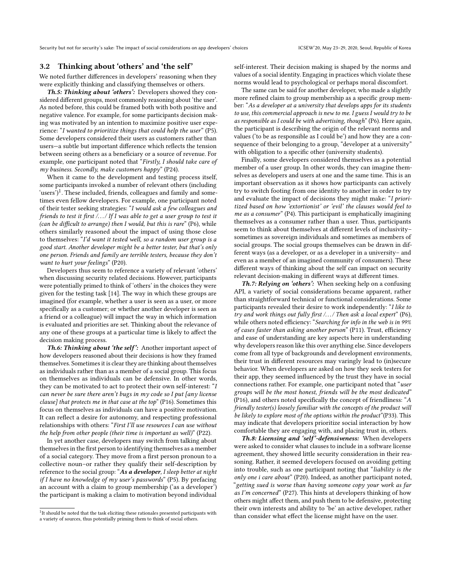#### 3.2 Thinking about 'others' and 'the self'

We noted further differences in developers' reasoning when they were explicitly thinking and classifying themselves or others.

Th.5: Thinking about 'others': Developers showed they considered different groups, most commonly reasoning about 'the user'. As noted before, this could be framed both with both positive and negative valence. For example, for some participants decision making was motivated by an intention to maximize positive user experience: "I wanted to prioritize things that could help the user" (P5). Some developers considered their users as customers rather than users—a subtle but important difference which reflects the tension between seeing others as a beneficiary or a source of revenue. For example, one participant noted that "Firstly, I should take care of my business. Secondly, make customers happy" (P24).

When it came to the development and testing process itself, some participants invoked a number of relevant others (including 'users')<sup>1</sup>. These included, friends, colleagues and family and sometimes even fellow developers. For example, one participant noted of their tester seeking strategies: "I would ask a few colleagues and friends to test it first  $\ldots$  If I was able to get a user group to test it (can be difficult to arrange) then I would, but this is rare"  $(P6)$ , while others similarly reasoned about the impact of using those close to themselves: "I'd want it tested well, so a random user group is a good start. Another developer might be a better tester, but that's only one person. Friends and family are terrible testers, because they don't want to hurt your feelings" (P20).

Developers thus seem to reference a variety of relevant 'others' when discussing security related decisions. However, participants were potentially primed to think of 'others' in the choices they were given for the testing task [14]. The way in which these groups are imagined (for example, whether a user is seen as a user, or more specifically as a customer; or whether another developer is seen as a friend or a colleague) will impact the way in which information is evaluated and priorities are set. Thinking about the relevance of any one of these groups at a particular time is likely to affect the decision making process.

Th.6: Thinking about 'the self': Another important aspect of how developers reasoned about their decisions is how they framed themselves. Sometimes it is clear they are thinking about themselves as individuals rather than as a member of a social group. This focus on themselves as individuals can be defensive. In other words, they can be motivated to act to protect their own self-interest: "I can never be sure there aren't bugs in my code so I put [any license clause] that protects me in that case at the top" (P16). Sometimes this focus on themselves as individuals can have a positive motivation. It can reflect a desire for autonomy, and respecting professional relationships with others: "First I'll use resources I can use without the help from other people (their time is important as well)" (P22).

In yet another case, developers may switch from talking about themselves in the first person to identifying themselves as a member of a social category. They move from a first person pronoun to a collective noun–or rather they qualify their self-description by reference to the social group: "As a developer, I sleep better at night if I have no knowledge of my user's passwords" (P5). By prefacing an account with a claim to group membership ('as a developer') the participant is making a claim to motivation beyond individual

self-interest. Their decision making is shaped by the norms and values of a social identity. Engaging in practices which violate these norms would lead to psychological or perhaps moral discomfort.

The same can be said for another developer, who made a slightly more refined claim to group membership as a specific group member: "As a developer at a university that develops apps for its students to use, this commercial approach is new to me. I guess I would try to be as responsible as I could be with advertising, though" (P6). Here again, the participant is describing the origin of the relevant norms and values ('to be as responsible as I could be') and how they are a consequence of their belonging to a group, "developer at a university" with obligation to a specific other (university students).

Finally, some developers considered themselves as a potential member of a user group. In other words, they can imagine themselves as developers and users at one and the same time. This is an important observation as it shows how participants can actively try to switch footing from one identity to another in order to try and evaluate the impact of decisions they might make: "I prioritized based on how 'extortionist' or 'evil' the clauses would feel to me as a consumer" (P4). This participant is emphatically imagining themselves as a consumer rather than a user. Thus, participants seem to think about themselves at different levels of inclusivity– sometimes as sovereign individuals and sometimes as members of social groups. The social groups themselves can be drawn in different ways (as a developer, or as a developer in a university– and even as a member of an imagined community of consumers). These different ways of thinking about the self can impact on security relevant decision-making in different ways at different times.

Th.7: Relying on 'others': When seeking help on a confusing API, a variety of social considerations became apparent, rather than straightforward technical or functional considerations. Some participants revealed their desire to work independently: "I like to try and work things out fully first  $\ldots$  Then ask a local expert" (P6), while others noted efficiency: "Searching for info in the web is in 99% of cases faster than asking another person" (P11). Trust, efficiency and ease of understanding are key aspects here in understanding why developers reason like this over anything else. Since developers come from all type of backgrounds and development environments, their trust in different resources may varingly lead to (in)secure behavior. When developers are asked on how they seek testers for their app, they seemed influenced by the trust they have in social connections rather. For example, one participant noted that "user groups will be the most honest, friends will be the most dedicated" (P16), and others noted specifically the concept of friendliness: "A friendly tester(s) loosely familiar with the concepts of the product will be likely to explore most of the options within the product"(P33). This may indicate that developers prioritize social interaction by how comfortable they are engaging with, and placing trust in, others.

Th.8: Licensing and 'self'-defensiveness: When developers were asked to consider what clauses to include in a software license agreement, they showed little security consideration in their reasoning. Rather, it seemed developers focused on avoiding getting into trouble, such as one participant noting that "liability is the only one i care about" (P20). Indeed, as another participant noted, "getting sued is worse than having someone copy your work as far as I'm concerned" (P27). This hints at developers thinking of how others might affect them, and push them to be defensive, protecting their own interests and ability to 'be' an active developer, rather than consider what effect the license might have on the user.

<sup>&</sup>lt;sup>1</sup>It should be noted that the task eliciting these rationales presented participants with a variety of sources, thus potentially priming them to think of social others.